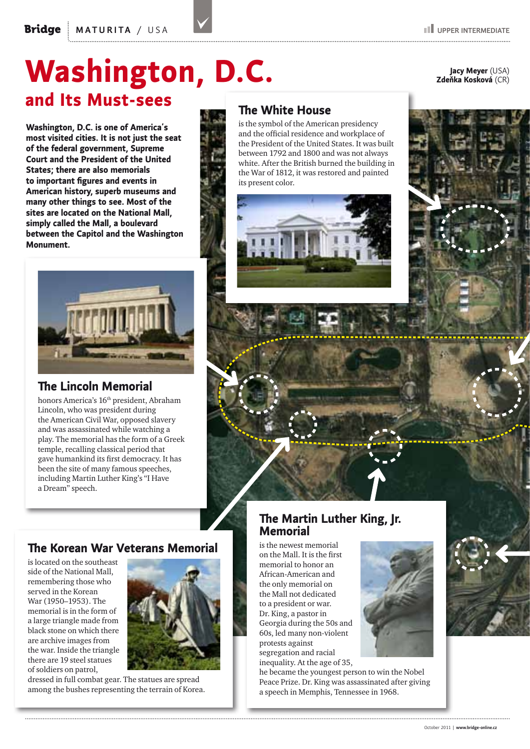**Washington, D.C. is one of America's most visited cities. It is not just the seat of the federal government, Supreme Court and the President of the United States; there are also memorials to important figures and events in American history, superb museums and many other things to see. Most of the sites are located on the National Mall, simply called the Mall, a boulevard between the Capitol and the Washington Monument.**



# **The Lincoln Memorial**

honors America's 16<sup>th</sup> president, Abraham Lincoln, who was president during the American Civil War, opposed slavery and was assassinated while watching a play. The memorial has the form of a Greek temple, recalling classical period that gave humankind its first democracy. It has been the site of many famous speeches, including Martin Luther King's "I Have a Dream" speech.

# **The Korean War Veterans Memorial**

is located on the southeast side of the National Mall, remembering those who served in the Korean War (1950–1953). The memorial is in the form of a large triangle made from black stone on which there are archive images from the war. Inside the triangle there are 19 steel statues of soldiers on patrol,



dressed in full combat gear. The statues are spread among the bushes representing the terrain of Korea.

# **The Martin Luther King, Jr. Memorial**

is the newest memorial on the Mall. It is the first memorial to honor an African‑American and the only memorial on the Mall not dedicated to a president or war. Dr. King, a pastor in Georgia during the 50s and 60s, led many non‑violent protests against segregation and racial inequality. At the age of 35,



he became the youngest person to win the Nobel Peace Prize. Dr. King was assassinated after giving a speech in Memphis, Tennessee in 1968.



# **The White House**

is the symbol of the American presidency and the official residence and workplace of the President of the United States. It was built between 1792 and 1800 and was not always white. After the British burned the building in the War of 1812, it was restored and painted its present color.